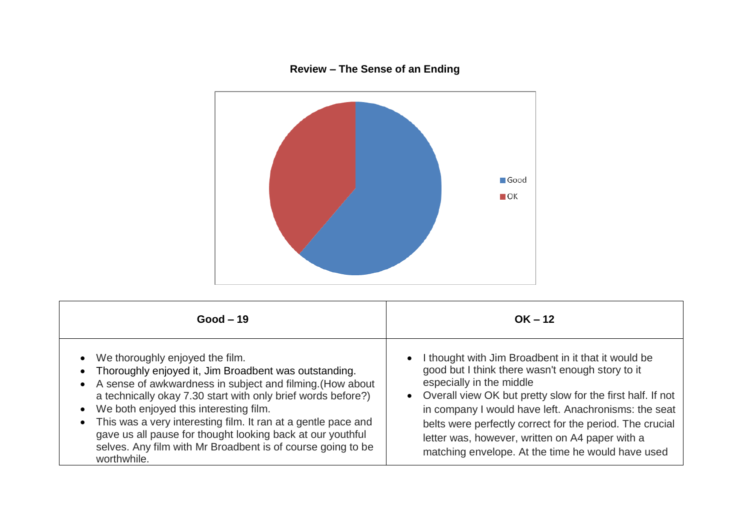## **Review – The Sense of an Ending**



| $Good-19$                                                                                                                                                                                                                                                                                                                                                                                                                                                                            | $OK - 12$                                                                                                                                                                                                                                                                                                                                                                                                                       |
|--------------------------------------------------------------------------------------------------------------------------------------------------------------------------------------------------------------------------------------------------------------------------------------------------------------------------------------------------------------------------------------------------------------------------------------------------------------------------------------|---------------------------------------------------------------------------------------------------------------------------------------------------------------------------------------------------------------------------------------------------------------------------------------------------------------------------------------------------------------------------------------------------------------------------------|
| • We thoroughly enjoyed the film.<br>Thoroughly enjoyed it, Jim Broadbent was outstanding.<br>• A sense of awkwardness in subject and filming. (How about<br>a technically okay 7.30 start with only brief words before?)<br>• We both enjoyed this interesting film.<br>• This was a very interesting film. It ran at a gentle pace and<br>gave us all pause for thought looking back at our youthful<br>selves. Any film with Mr Broadbent is of course going to be<br>worthwhile. | I thought with Jim Broadbent in it that it would be<br>good but I think there wasn't enough story to it<br>especially in the middle<br>• Overall view OK but pretty slow for the first half. If not<br>in company I would have left. Anachronisms: the seat<br>belts were perfectly correct for the period. The crucial<br>letter was, however, written on A4 paper with a<br>matching envelope. At the time he would have used |